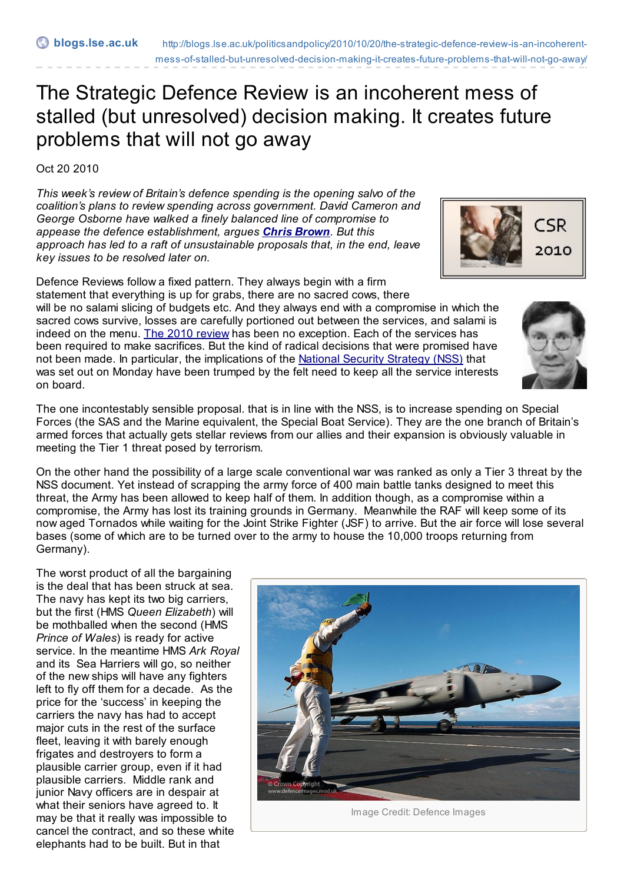## The Strategic Defence Review is an incoherent mess of stalled (but unresolved) decision making. It creates future problems that will not go away

Oct 20 2010

*This week's review of Britain's defence spending is the opening salvo of the coalition's plans to review spending across government. David Cameron and George Osborne have walked a finely balanced line of compromise to appease the defence establishment, argues Chris [Brown](http://blogs.lse.ac.uk/politicsandpolicy/contributors/#Chris_Brown). But this approach has led to a raft of unsustainable proposals that, in the end, leave key issues to be resolved later on.*

Defence Reviews follow a fixed pattern. They always begin with a firm statement that everything is up for grabs, there are no sacred cows, there will be no salami slicing of budgets etc. And they always end with a compromise in which the sacred cows survive, losses are carefully portioned out between the services, and salami is indeed on the menu. The 2010 [review](http://www.direct.gov.uk/prod_consum_dg/groups/dg_digitalassets/@dg/@en/documents/digitalasset/dg_191634.pdf?CID=PDF&PLA=furl&CRE=sdsr) has been no exception. Each of the services has been required to make sacrifices. But the kind of radical decisions that were promised have not been made. In particular, the implications of the National Security [Strategy](http://interactive.cabinetoffice.gov.uk/documents/security/national_security_strategy.pdf) (NSS) that was set out on Monday have been trumped by the felt need to keep all the service interests on board.

The one incontestably sensible proposal. that is in line with the NSS, is to increase spending on Special Forces (the SAS and the Marine equivalent, the Special Boat Service). They are the one branch of Britain's armed forces that actually gets stellar reviews from our allies and their expansion is obviously valuable in meeting the Tier 1 threat posed by terrorism.

On the other hand the possibility of a large scale conventional war was ranked as only a Tier 3 threat by the NSS document. Yet instead of scrapping the army force of 400 main battle tanks designed to meet this threat, the Army has been allowed to keep half of them. In addition though, as a compromise within a compromise, the Army has lost its training grounds in Germany. Meanwhile the RAF will keep some of its now aged Tornados while waiting for the Joint Strike Fighter (JSF) to arrive. But the air force will lose several bases (some of which are to be turned over to the army to house the 10,000 troops returning from Germany).

The worst product of all the bargaining is the deal that has been struck at sea. The navy has kept its two big carriers, but the first (HMS *Queen Elizabeth*) will be mothballed when the second (HMS *Prince of Wales*) is ready for active service. In the meantime HMS *Ark Royal* and its Sea Harriers will go, so neither of the new ships will have any fighters left to fly off them for a decade. As the price for the 'success' in keeping the carriers the navy has had to accept major cuts in the rest of the surface fleet, leaving it with barely enough frigates and destroyers to form a plausible carrier group, even if it had plausible carriers. Middle rank and junior Navy officers are in despair at what their seniors have agreed to. It may be that it really was impossible to cancel the contract, and so these white elephants had to be built. But in that







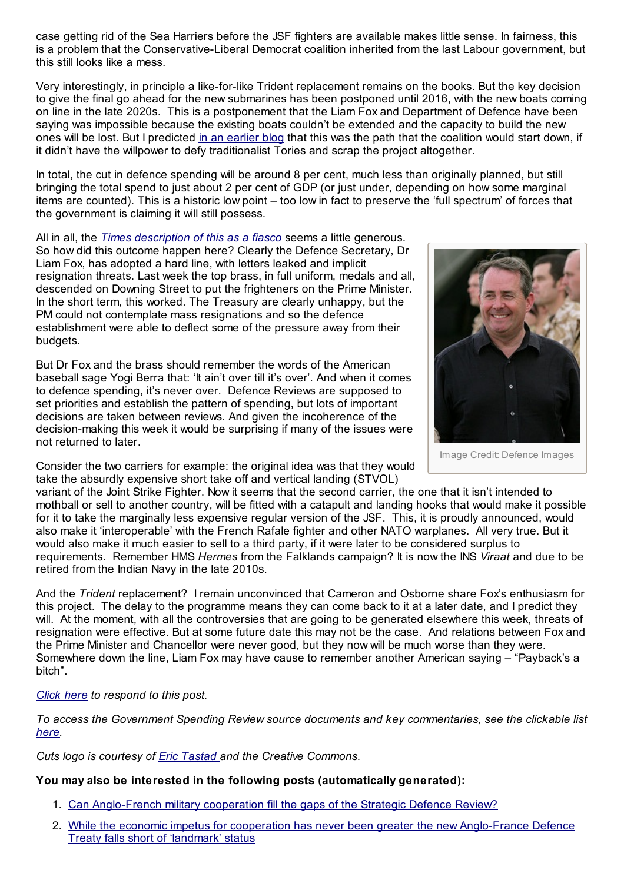case getting rid of the Sea Harriers before the JSF fighters are available makes little sense. In fairness, this is a problem that the Conservative-Liberal Democrat coalition inherited from the last Labour government, but this still looks like a mess.

Very interestingly, in principle a like-for-like Trident replacement remains on the books. But the key decision to give the final go ahead for the new submarines has been postponed until 2016, with the new boats coming on line in the late 2020s. This is a postponement that the Liam Fox and Department of Defence have been saying was impossible because the existing boats couldn't be extended and the capacity to build the new ones will be lost. But I predicted in an [earlier](http://blogs.lse.ac.uk/politicsandpolicy/?p=3729) blog that this was the path that the coalition would start down, if it didn't have the willpower to defy traditionalist Tories and scrap the project altogether.

In total, the cut in defence spending will be around 8 per cent, much less than originally planned, but still bringing the total spend to just about 2 per cent of GDP (or just under, depending on how some marginal items are counted). This is a historic low point – too low in fact to preserve the 'full spectrum' of forces that the government is claiming it will still possess.

All in all, the *Times [description](http://www.bbc.co.uk/news/uk-11571450) of this as a fiasco* seems a little generous. So how did this outcome happen here? Clearly the Defence Secretary, Dr Liam Fox, has adopted a hard line, with letters leaked and implicit resignation threats. Last week the top brass, in full uniform, medals and all, descended on Downing Street to put the frighteners on the Prime Minister. In the short term, this worked. The Treasury are clearly unhappy, but the PM could not contemplate mass resignations and so the defence establishment were able to deflect some of the pressure away from their budgets.

But Dr Fox and the brass should remember the words of the American baseball sage Yogi Berra that: 'It ain't over till it's over'. And when it comes to defence spending, it's never over. Defence Reviews are supposed to set priorities and establish the pattern of spending, but lots of important decisions are taken between reviews. And given the incoherence of the decision-making this week it would be surprising if many of the issues were not returned to later.

Consider the two carriers for example: the original idea was that they would take the absurdly expensive short take off and vertical landing (STVOL)



Image Credit: Defence Images

variant of the Joint Strike Fighter. Now it seems that the second carrier, the one that it isn't intended to mothball or sell to another country, will be fitted with a catapult and landing hooks that would make it possible for it to take the marginally less expensive regular version of the JSF. This, it is proudly announced, would also make it 'interoperable' with the French Rafale fighter and other NATO warplanes. All very true. But it would also make it much easier to sell to a third party, if it were later to be considered surplus to requirements. Remember HMS *Hermes* from the Falklands campaign? It is now the INS *Viraat* and due to be retired from the Indian Navy in the late 2010s.

And the *Trident* replacement? I remain unconvinced that Cameron and Osborne share Fox's enthusiasm for this project. The delay to the programme means they can come back to it at a later date, and I predict they will. At the moment, with all the controversies that are going to be generated elsewhere this week, threats of resignation were effective. But at some future date this may not be the case. And relations between Fox and the Prime Minister and Chancellor were never good, but they now will be much worse than they were. Somewhere down the line, Liam Fox may have cause to remember another American saying – "Payback's a bitch".

## *[Click](http://blogs.lse.ac.uk/politicsandpolicy/?p=4660#respond) here to respond to this post.*

*To access the Government Spending Review source documents and key commentaries, see the clickable list [here](http://www.edf.org.uk/blog/?p=7686).*

*Cuts logo is courtesy of Eric [Tastad](http://www.flickr.com/photos/28177041@N03/) and the Creative Commons.*

## **You may also be interested in the following posts (automatically generated):**

- 1. Can [Anglo-French](http://blogs.lse.ac.uk/politicsandpolicy/2010/10/22/the-comprehensive-spending-review%e2%80%99s-cuts-will-have-far-reaching-implications-that-will-stay-with-us-for-decades/) military cooperation fill the gaps of the Strategic Defence Review?
- 2. While the economic impetus for cooperation has never been greater the new [Anglo-France](http://blogs.lse.ac.uk/politicsandpolicy/2010/11/03/while-the-economic-impetus-for-cooperation-has-never-been-greater-the-new-anglo-france-defence-treaty-falls-short-of-%e2%80%98landmark%e2%80%99-status/) Defence Treaty falls short of 'landmark' status